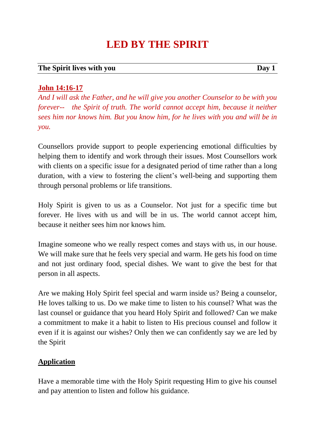# **LED BY THE SPIRIT**

#### **The Spirit lives with you Day 1**

**John 14:16-17**

*And I will ask the Father, and he will give you another Counselor to be with you forever-- the Spirit of truth. The world cannot accept him, because it neither sees him nor knows him. But you know him, for he lives with you and will be in you.*

Counsellors provide support to people experiencing emotional difficulties by helping them to identify and work through their issues. Most Counsellors work with clients on a specific issue for a designated period of time rather than a long duration, with a view to fostering the client's well-being and supporting them through personal problems or life transitions.

Holy Spirit is given to us as a Counselor. Not just for a specific time but forever. He lives with us and will be in us. The world cannot accept him, because it neither sees him nor knows him.

Imagine someone who we really respect comes and stays with us, in our house. We will make sure that he feels very special and warm. He gets his food on time and not just ordinary food, special dishes. We want to give the best for that person in all aspects.

Are we making Holy Spirit feel special and warm inside us? Being a counselor, He loves talking to us. Do we make time to listen to his counsel? What was the last counsel or guidance that you heard Holy Spirit and followed? Can we make a commitment to make it a habit to listen to His precious counsel and follow it even if it is against our wishes? Only then we can confidently say we are led by the Spirit

# **Application**

Have a memorable time with the Holy Spirit requesting Him to give his counsel and pay attention to listen and follow his guidance.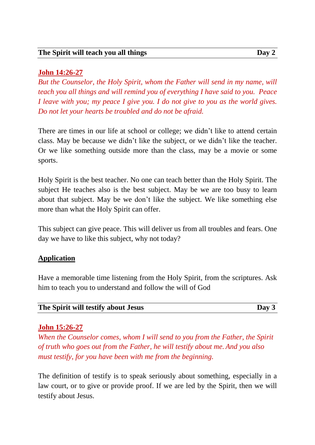## **John 14:26-27**

*But the Counselor, the Holy Spirit, whom the Father will send in my name, will teach you all things and will remind you of everything I have said to you. Peace I leave with you; my peace I give you. I do not give to you as the world gives. Do not let your hearts be troubled and do not be afraid.*

There are times in our life at school or college; we didn't like to attend certain class. May be because we didn't like the subject, or we didn't like the teacher. Or we like something outside more than the class, may be a movie or some sports.

Holy Spirit is the best teacher. No one can teach better than the Holy Spirit. The subject He teaches also is the best subject. May be we are too busy to learn about that subject. May be we don't like the subject. We like something else more than what the Holy Spirit can offer.

This subject can give peace. This will deliver us from all troubles and fears. One day we have to like this subject, why not today?

### **Application**

Have a memorable time listening from the Holy Spirit, from the scriptures. Ask him to teach you to understand and follow the will of God

| The Spirit will testify about Jesus | Day 3 |
|-------------------------------------|-------|
|-------------------------------------|-------|

### **John 15:26-27**

*When the Counselor comes, whom I will send to you from the Father, the Spirit of truth who goes out from the Father, he will testify about me. And you also must testify, for you have been with me from the beginning.*

The definition of testify is to speak seriously about something, especially in a law court, or to give or provide proof. If we are led by the Spirit, then we will testify about Jesus.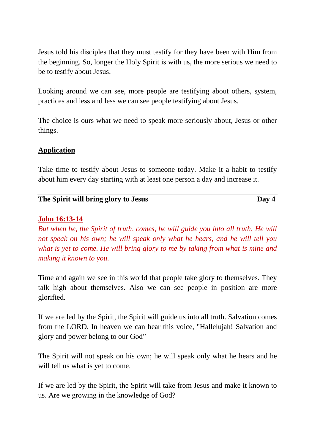Jesus told his disciples that they must testify for they have been with Him from the beginning. So, longer the Holy Spirit is with us, the more serious we need to be to testify about Jesus.

Looking around we can see, more people are testifying about others, system, practices and less and less we can see people testifying about Jesus.

The choice is ours what we need to speak more seriously about, Jesus or other things.

## **Application**

Take time to testify about Jesus to someone today. Make it a habit to testify about him every day starting with at least one person a day and increase it.

| The Spirit will bring glory to Jesus | Day 4 |
|--------------------------------------|-------|
|                                      |       |

## **John 16:13-14**

*But when he, the Spirit of truth, comes, he will guide you into all truth. He will not speak on his own; he will speak only what he hears, and he will tell you what is yet to come. He will bring glory to me by taking from what is mine and making it known to you.*

Time and again we see in this world that people take glory to themselves. They talk high about themselves. Also we can see people in position are more glorified.

If we are led by the Spirit, the Spirit will guide us into all truth. Salvation comes from the LORD. In heaven we can hear this voice, "Hallelujah! Salvation and glory and power belong to our God"

The Spirit will not speak on his own; he will speak only what he hears and he will tell us what is yet to come.

If we are led by the Spirit, the Spirit will take from Jesus and make it known to us. Are we growing in the knowledge of God?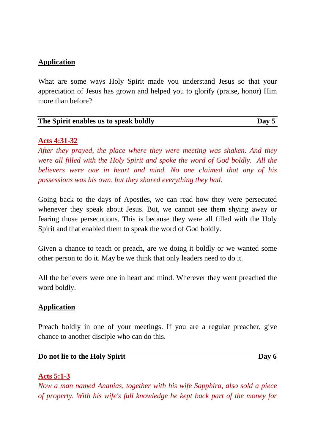What are some ways Holy Spirit made you understand Jesus so that your appreciation of Jesus has grown and helped you to glorify (praise, honor) Him more than before?

| The Spirit enables us to speak boldly | Day $5$ |
|---------------------------------------|---------|
|                                       |         |

#### **Acts 4:31-32**

*After they prayed, the place where they were meeting was shaken. And they were all filled with the Holy Spirit and spoke the word of God boldly. All the believers were one in heart and mind. No one claimed that any of his possessions was his own, but they shared everything they had*.

Going back to the days of Apostles, we can read how they were persecuted whenever they speak about Jesus. But, we cannot see them shying away or fearing those persecutions. This is because they were all filled with the Holy Spirit and that enabled them to speak the word of God boldly.

Given a chance to teach or preach, are we doing it boldly or we wanted some other person to do it. May be we think that only leaders need to do it.

All the believers were one in heart and mind. Wherever they went preached the word boldly.

#### **Application**

Preach boldly in one of your meetings. If you are a regular preacher, give chance to another disciple who can do this.

#### **Do not** lie to the Holy Spirit Day 6

### **Acts 5:1-3**

*Now a man named Ananias, together with his wife Sapphira, also sold a piece of property. With his wife's full knowledge he kept back part of the money for*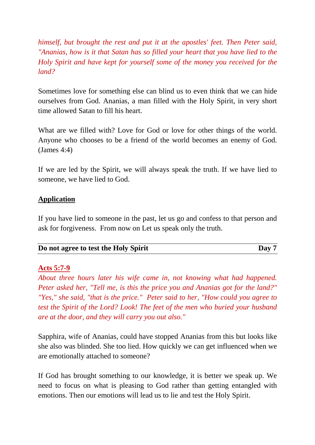*himself, but brought the rest and put it at the apostles' feet. Then Peter said, "Ananias, how is it that Satan has so filled your heart that you have lied to the Holy Spirit and have kept for yourself some of the money you received for the land?*

Sometimes love for something else can blind us to even think that we can hide ourselves from God. Ananias, a man filled with the Holy Spirit, in very short time allowed Satan to fill his heart.

What are we filled with? Love for God or love for other things of the world. Anyone who chooses to be a friend of the world becomes an enemy of God. (James 4:4)

If we are led by the Spirit, we will always speak the truth. If we have lied to someone, we have lied to God.

## **Application**

If you have lied to someone in the past, let us go and confess to that person and ask for forgiveness. From now on Let us speak only the truth.

| Do not agree to test the Holy Spirit |  | Day 7 |
|--------------------------------------|--|-------|
|--------------------------------------|--|-------|

### **Acts 5:7-9**

*About three hours later his wife came in, not knowing what had happened. Peter asked her, "Tell me, is this the price you and Ananias got for the land?" "Yes," she said, "that is the price." Peter said to her, "How could you agree to test the Spirit of the Lord? Look! The feet of the men who buried your husband are at the door, and they will carry you out also."*

Sapphira, wife of Ananias, could have stopped Ananias from this but looks like she also was blinded. She too lied. How quickly we can get influenced when we are emotionally attached to someone?

If God has brought something to our knowledge, it is better we speak up. We need to focus on what is pleasing to God rather than getting entangled with emotions. Then our emotions will lead us to lie and test the Holy Spirit.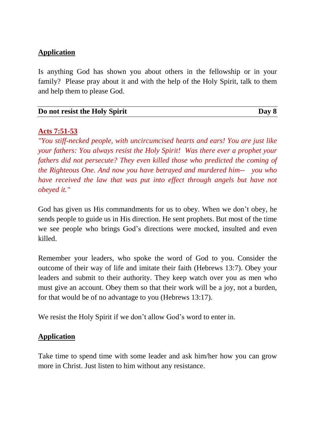Is anything God has shown you about others in the fellowship or in your family? Please pray about it and with the help of the Holy Spirit, talk to them and help them to please God.

| Do not resist the Holy Spirit | Day 8 |
|-------------------------------|-------|
|                               |       |

### **Acts 7:51-53**

*"You stiff-necked people, with uncircumcised hearts and ears! You are just like your fathers: You always resist the Holy Spirit! Was there ever a prophet your fathers did not persecute? They even killed those who predicted the coming of the Righteous One. And now you have betrayed and murdered him-- you who have received the law that was put into effect through angels but have not obeyed it."*

God has given us His commandments for us to obey. When we don't obey, he sends people to guide us in His direction. He sent prophets. But most of the time we see people who brings God's directions were mocked, insulted and even killed.

Remember your leaders, who spoke the word of God to you. Consider the outcome of their way of life and imitate their faith (Hebrews 13:7). Obey your leaders and submit to their authority. They keep watch over you as men who must give an account. Obey them so that their work will be a joy, not a burden, for that would be of no advantage to you (Hebrews 13:17).

We resist the Holy Spirit if we don't allow God's word to enter in.

### **Application**

Take time to spend time with some leader and ask him/her how you can grow more in Christ. Just listen to him without any resistance.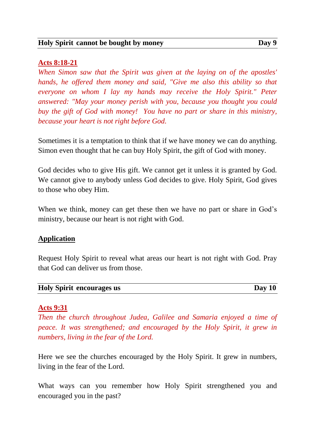#### **Acts 8:18-21**

*When Simon saw that the Spirit was given at the laying on of the apostles' hands, he offered them money and said, "Give me also this ability so that everyone on whom I lay my hands may receive the Holy Spirit." Peter answered: "May your money perish with you, because you thought you could buy the gift of God with money! You have no part or share in this ministry, because your heart is not right before God.*

Sometimes it is a temptation to think that if we have money we can do anything. Simon even thought that he can buy Holy Spirit, the gift of God with money.

God decides who to give His gift. We cannot get it unless it is granted by God. We cannot give to anybody unless God decides to give. Holy Spirit, God gives to those who obey Him.

When we think, money can get these then we have no part or share in God's ministry, because our heart is not right with God.

### **Application**

Request Holy Spirit to reveal what areas our heart is not right with God. Pray that God can deliver us from those.

| <b>Holy Spirit encourages us</b> | Day 10 |
|----------------------------------|--------|
|----------------------------------|--------|

#### **Acts 9:31**

*Then the church throughout Judea, Galilee and Samaria enjoyed a time of peace. It was strengthened; and encouraged by the Holy Spirit, it grew in numbers, living in the fear of the Lord.*

Here we see the churches encouraged by the Holy Spirit. It grew in numbers, living in the fear of the Lord.

What ways can you remember how Holy Spirit strengthened you and encouraged you in the past?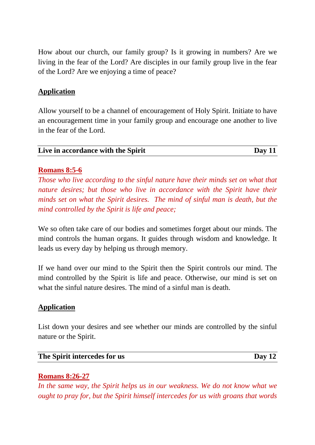How about our church, our family group? Is it growing in numbers? Are we living in the fear of the Lord? Are disciples in our family group live in the fear of the Lord? Are we enjoying a time of peace?

## **Application**

Allow yourself to be a channel of encouragement of Holy Spirit. Initiate to have an encouragement time in your family group and encourage one another to live in the fear of the Lord.

| Live in accordance with the Spirit | Day $11$ |
|------------------------------------|----------|
|                                    |          |

## **Romans 8:5-6**

*Those who live according to the sinful nature have their minds set on what that nature desires; but those who live in accordance with the Spirit have their minds set on what the Spirit desires. The mind of sinful man is death, but the mind controlled by the Spirit is life and peace;*

We so often take care of our bodies and sometimes forget about our minds. The mind controls the human organs. It guides through wisdom and knowledge. It leads us every day by helping us through memory.

If we hand over our mind to the Spirit then the Spirit controls our mind. The mind controlled by the Spirit is life and peace. Otherwise, our mind is set on what the sinful nature desires. The mind of a sinful man is death.

### **Application**

List down your desires and see whether our minds are controlled by the sinful nature or the Spirit.

#### **The Spirit intercedes for us Day 12**

# **Romans 8:26-27**

*In the same way, the Spirit helps us in our weakness. We do not know what we ought to pray for, but the Spirit himself intercedes for us with groans that words*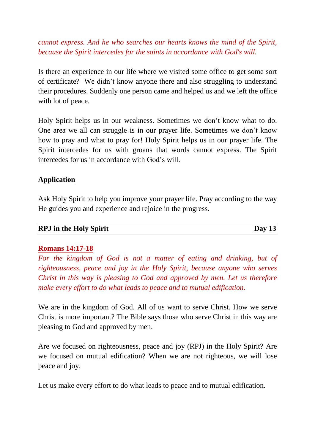*cannot express. And he who searches our hearts knows the mind of the Spirit, because the Spirit intercedes for the saints in accordance with God's will.*

Is there an experience in our life where we visited some office to get some sort of certificate? We didn't know anyone there and also struggling to understand their procedures. Suddenly one person came and helped us and we left the office with lot of peace.

Holy Spirit helps us in our weakness. Sometimes we don't know what to do. One area we all can struggle is in our prayer life. Sometimes we don't know how to pray and what to pray for! Holy Spirit helps us in our prayer life. The Spirit intercedes for us with groans that words cannot express. The Spirit intercedes for us in accordance with God's will.

### **Application**

Ask Holy Spirit to help you improve your prayer life. Pray according to the way He guides you and experience and rejoice in the progress.

#### **RPJ in the Holy Spirit Day 13**

### **Romans 14:17-18**

*For the kingdom of God is not a matter of eating and drinking, but of righteousness, peace and joy in the Holy Spirit, because anyone who serves Christ in this way is pleasing to God and approved by men. Let us therefore make every effort to do what leads to peace and to mutual edification.*

We are in the kingdom of God. All of us want to serve Christ. How we serve Christ is more important? The Bible says those who serve Christ in this way are pleasing to God and approved by men.

Are we focused on righteousness, peace and joy (RPJ) in the Holy Spirit? Are we focused on mutual edification? When we are not righteous, we will lose peace and joy.

Let us make every effort to do what leads to peace and to mutual edification.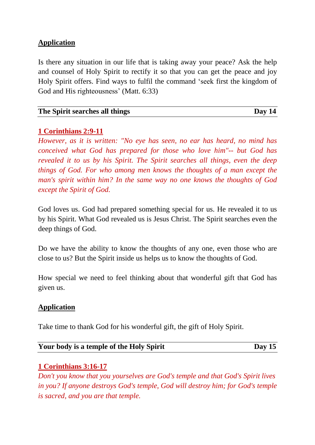Is there any situation in our life that is taking away your peace? Ask the help and counsel of Holy Spirit to rectify it so that you can get the peace and joy Holy Spirit offers. Find ways to fulfil the command 'seek first the kingdom of God and His righteousness' (Matt. 6:33)

| The Spirit searches all things | Day $14$ |
|--------------------------------|----------|
|                                |          |

## **1 Corinthians 2:9-11**

*However, as it is written: "No eye has seen, no ear has heard, no mind has conceived what God has prepared for those who love him"-- but God has revealed it to us by his Spirit. The Spirit searches all things, even the deep things of God. For who among men knows the thoughts of a man except the man's spirit within him? In the same way no one knows the thoughts of God except the Spirit of God.*

God loves us. God had prepared something special for us. He revealed it to us by his Spirit. What God revealed us is Jesus Christ. The Spirit searches even the deep things of God.

Do we have the ability to know the thoughts of any one, even those who are close to us? But the Spirit inside us helps us to know the thoughts of God.

How special we need to feel thinking about that wonderful gift that God has given us.

### **Application**

Take time to thank God for his wonderful gift, the gift of Holy Spirit.

| Your body is a temple of the Holy Spirit | Day $15$ |
|------------------------------------------|----------|
|------------------------------------------|----------|

# **1 Corinthians 3:16-17**

*Don't you know that you yourselves are God's temple and that God's Spirit lives in you? If anyone destroys God's temple, God will destroy him; for God's temple is sacred, and you are that temple.*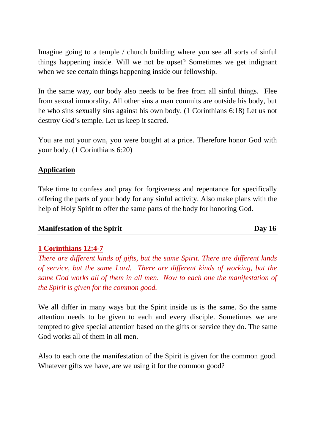Imagine going to a temple / church building where you see all sorts of sinful things happening inside. Will we not be upset? Sometimes we get indignant when we see certain things happening inside our fellowship.

In the same way, our body also needs to be free from all sinful things. Flee from sexual immorality. All other sins a man commits are outside his body, but he who sins sexually sins against his own body. (1 Corinthians 6:18) Let us not destroy God's temple. Let us keep it sacred.

You are not your own, you were bought at a price. Therefore honor God with your body. (1 Corinthians 6:20)

# **Application**

Take time to confess and pray for forgiveness and repentance for specifically offering the parts of your body for any sinful activity. Also make plans with the help of Holy Spirit to offer the same parts of the body for honoring God.

### **Manifestation** of the Spirit Day 16

# **1 Corinthians 12:4-7**

*There are different kinds of gifts, but the same Spirit. There are different kinds of service, but the same Lord. There are different kinds of working, but the same God works all of them in all men. Now to each one the manifestation of the Spirit is given for the common good.*

We all differ in many ways but the Spirit inside us is the same. So the same attention needs to be given to each and every disciple. Sometimes we are tempted to give special attention based on the gifts or service they do. The same God works all of them in all men.

Also to each one the manifestation of the Spirit is given for the common good. Whatever gifts we have, are we using it for the common good?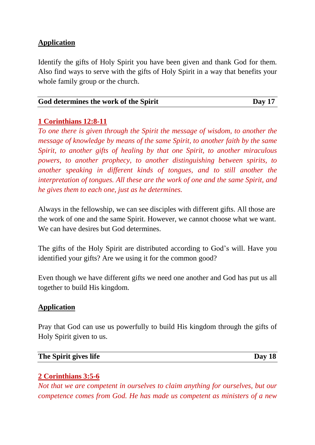Identify the gifts of Holy Spirit you have been given and thank God for them. Also find ways to serve with the gifts of Holy Spirit in a way that benefits your whole family group or the church.

| God determines the work of the Spirit | Day 17 |
|---------------------------------------|--------|
|                                       |        |

### **1 Corinthians 12:8-11**

*To one there is given through the Spirit the message of wisdom, to another the message of knowledge by means of the same Spirit, to another faith by the same Spirit, to another gifts of healing by that one Spirit, to another miraculous powers, to another prophecy, to another distinguishing between spirits, to another speaking in different kinds of tongues, and to still another the interpretation of tongues. All these are the work of one and the same Spirit, and he gives them to each one, just as he determines.*

Always in the fellowship, we can see disciples with different gifts. All those are the work of one and the same Spirit. However, we cannot choose what we want. We can have desires but God determines.

The gifts of the Holy Spirit are distributed according to God's will. Have you identified your gifts? Are we using it for the common good?

Even though we have different gifts we need one another and God has put us all together to build His kingdom.

#### **Application**

Pray that God can use us powerfully to build His kingdom through the gifts of Holy Spirit given to us.

#### **The Spirit gives life Day 18**

### **2 Corinthians 3:5-6**

*Not that we are competent in ourselves to claim anything for ourselves, but our competence comes from God. He has made us competent as ministers of a new*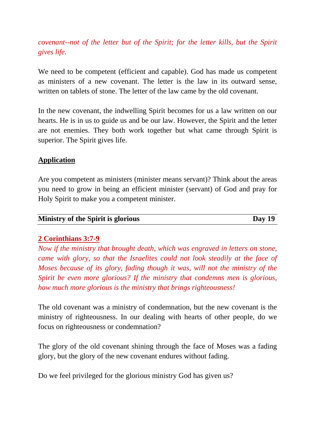*covenant--not of the letter but of the Spirit; for the letter kills, but the Spirit gives life.*

We need to be competent (efficient and capable). God has made us competent as ministers of a new covenant. The letter is the law in its outward sense, written on tablets of stone. The letter of the law came by the old covenant.

In the new covenant, the indwelling Spirit becomes for us a law written on our hearts. He is in us to guide us and be our law. However, the Spirit and the letter are not enemies. They both work together but what came through Spirit is superior. The Spirit gives life.

# **Application**

Are you competent as ministers (minister means servant)? Think about the areas you need to grow in being an efficient minister (servant) of God and pray for Holy Spirit to make you a competent minister.

| <b>Ministry of the Spirit is glorious</b> | Day $19$ |
|-------------------------------------------|----------|

# **2 Corinthians 3:7-9**

*Now if the ministry that brought death, which was engraved in letters on stone, came with glory, so that the Israelites could not look steadily at the face of Moses because of its glory, fading though it was, will not the ministry of the Spirit be even more glorious? If the ministry that condemns men is glorious, how much more glorious is the ministry that brings righteousness!*

The old covenant was a ministry of condemnation, but the new covenant is the ministry of righteousness. In our dealing with hearts of other people, do we focus on righteousness or condemnation?

The glory of the old covenant shining through the face of Moses was a fading glory, but the glory of the new covenant endures without fading.

Do we feel privileged for the glorious ministry God has given us?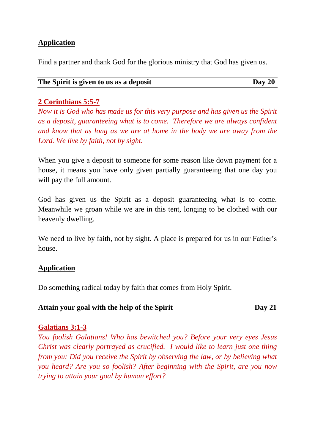Find a partner and thank God for the glorious ministry that God has given us.

| The Spirit is given to us as a deposit | Day 20 |
|----------------------------------------|--------|
|                                        |        |

# **2 Corinthians 5:5-7**

*Now it is God who has made us for this very purpose and has given us the Spirit as a deposit, guaranteeing what is to come. Therefore we are always confident and know that as long as we are at home in the body we are away from the Lord. We live by faith, not by sight.*

When you give a deposit to someone for some reason like down payment for a house, it means you have only given partially guaranteeing that one day you will pay the full amount.

God has given us the Spirit as a deposit guaranteeing what is to come. Meanwhile we groan while we are in this tent, longing to be clothed with our heavenly dwelling.

We need to live by faith, not by sight. A place is prepared for us in our Father's house.

# **Application**

Do something radical today by faith that comes from Holy Spirit.

| Attain your goal with the help of the Spirit | Day $21$ |
|----------------------------------------------|----------|
|                                              |          |

### **Galatians 3:1-3**

*You foolish Galatians! Who has bewitched you? Before your very eyes Jesus Christ was clearly portrayed as crucified. I would like to learn just one thing from you: Did you receive the Spirit by observing the law, or by believing what you heard? Are you so foolish? After beginning with the Spirit, are you now trying to attain your goal by human effort?*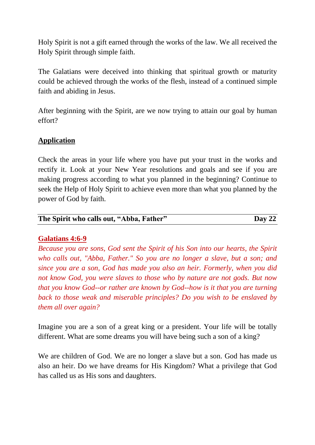Holy Spirit is not a gift earned through the works of the law. We all received the Holy Spirit through simple faith.

The Galatians were deceived into thinking that spiritual growth or maturity could be achieved through the works of the flesh, instead of a continued simple faith and abiding in Jesus.

After beginning with the Spirit, are we now trying to attain our goal by human effort?

## **Application**

Check the areas in your life where you have put your trust in the works and rectify it. Look at your New Year resolutions and goals and see if you are making progress according to what you planned in the beginning? Continue to seek the Help of Holy Spirit to achieve even more than what you planned by the power of God by faith.

| The Spirit who calls out, "Abba, Father" | Day $22$ |
|------------------------------------------|----------|

### **Galatians 4:6-9**

*Because you are sons, God sent the Spirit of his Son into our hearts, the Spirit who calls out, "Abba, Father." So you are no longer a slave, but a son; and since you are a son, God has made you also an heir. Formerly, when you did not know God, you were slaves to those who by nature are not gods. But now that you know God--or rather are known by God--how is it that you are turning back to those weak and miserable principles? Do you wish to be enslaved by them all over again?*

Imagine you are a son of a great king or a president. Your life will be totally different. What are some dreams you will have being such a son of a king?

We are children of God. We are no longer a slave but a son. God has made us also an heir. Do we have dreams for His Kingdom? What a privilege that God has called us as His sons and daughters.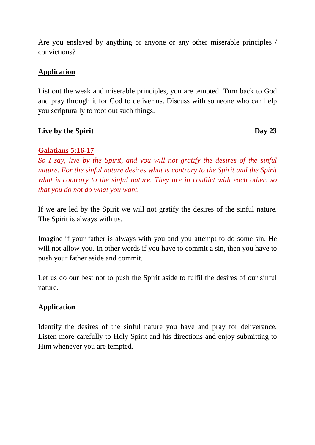Are you enslaved by anything or anyone or any other miserable principles / convictions?

# **Application**

List out the weak and miserable principles, you are tempted. Turn back to God and pray through it for God to deliver us. Discuss with someone who can help you scripturally to root out such things.

| Live by the Spirit | Day 2 |
|--------------------|-------|

# **Galatians 5:16-17**

*So I say, live by the Spirit, and you will not gratify the desires of the sinful nature. For the sinful nature desires what is contrary to the Spirit and the Spirit what is contrary to the sinful nature. They are in conflict with each other, so that you do not do what you want.*

If we are led by the Spirit we will not gratify the desires of the sinful nature. The Spirit is always with us.

Imagine if your father is always with you and you attempt to do some sin. He will not allow you. In other words if you have to commit a sin, then you have to push your father aside and commit.

Let us do our best not to push the Spirit aside to fulfil the desires of our sinful nature.

# **Application**

Identify the desires of the sinful nature you have and pray for deliverance. Listen more carefully to Holy Spirit and his directions and enjoy submitting to Him whenever you are tempted.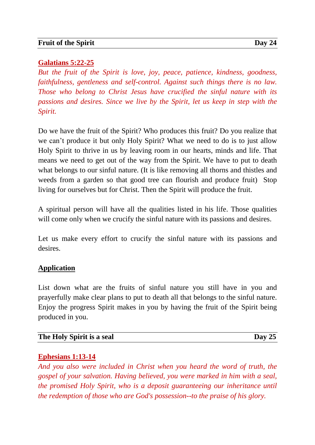## **Galatians 5:22-25**

*But the fruit of the Spirit is love, joy, peace, patience, kindness, goodness, faithfulness, gentleness and self-control. Against such things there is no law. Those who belong to Christ Jesus have crucified the sinful nature with its passions and desires. Since we live by the Spirit, let us keep in step with the Spirit.*

Do we have the fruit of the Spirit? Who produces this fruit? Do you realize that we can't produce it but only Holy Spirit? What we need to do is to just allow Holy Spirit to thrive in us by leaving room in our hearts, minds and life. That means we need to get out of the way from the Spirit. We have to put to death what belongs to our sinful nature. (It is like removing all thorns and thistles and weeds from a garden so that good tree can flourish and produce fruit) Stop living for ourselves but for Christ. Then the Spirit will produce the fruit.

A spiritual person will have all the qualities listed in his life. Those qualities will come only when we crucify the sinful nature with its passions and desires.

Let us make every effort to crucify the sinful nature with its passions and desires.

### **Application**

List down what are the fruits of sinful nature you still have in you and prayerfully make clear plans to put to death all that belongs to the sinful nature. Enjoy the progress Spirit makes in you by having the fruit of the Spirit being produced in you.

| The Holy Spirit is a seal | Day |
|---------------------------|-----|
|                           |     |

### **Ephesians 1:13-14**

*And you also were included in Christ when you heard the word of truth, the gospel of your salvation. Having believed, you were marked in him with a seal, the promised Holy Spirit, who is a deposit guaranteeing our inheritance until the redemption of those who are God's possession--to the praise of his glory.*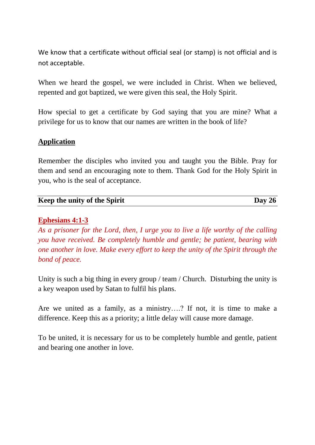We know that a certificate without official seal (or stamp) is not official and is not acceptable.

When we heard the gospel, we were included in Christ. When we believed, repented and got baptized, we were given this seal, the Holy Spirit.

How special to get a certificate by God saying that you are mine? What a privilege for us to know that our names are written in the book of life?

## **Application**

Remember the disciples who invited you and taught you the Bible. Pray for them and send an encouraging note to them. Thank God for the Holy Spirit in you, who is the seal of acceptance.

| Keep the unity of the Spirit | Day $26$ |
|------------------------------|----------|
|                              |          |

### **Ephesians 4:1-3**

*As a prisoner for the Lord, then, I urge you to live a life worthy of the calling you have received. Be completely humble and gentle; be patient, bearing with one another in love. Make every effort to keep the unity of the Spirit through the bond of peace.*

Unity is such a big thing in every group / team / Church. Disturbing the unity is a key weapon used by Satan to fulfil his plans.

Are we united as a family, as a ministry….? If not, it is time to make a difference. Keep this as a priority; a little delay will cause more damage.

To be united, it is necessary for us to be completely humble and gentle, patient and bearing one another in love.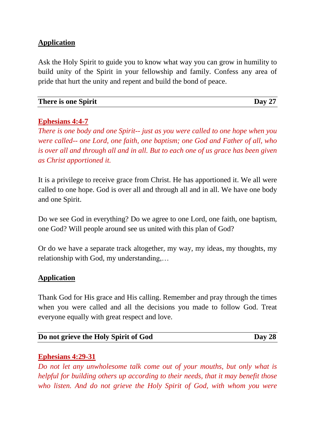Ask the Holy Spirit to guide you to know what way you can grow in humility to build unity of the Spirit in your fellowship and family. Confess any area of pride that hurt the unity and repent and build the bond of peace.

| There is one Spirit | Day 27 |
|---------------------|--------|
|                     |        |

## **Ephesians 4:4-7**

*There is one body and one Spirit-- just as you were called to one hope when you were called-- one Lord, one faith, one baptism; one God and Father of all, who is over all and through all and in all. But to each one of us grace has been given as Christ apportioned it.*

It is a privilege to receive grace from Christ. He has apportioned it. We all were called to one hope. God is over all and through all and in all. We have one body and one Spirit.

Do we see God in everything? Do we agree to one Lord, one faith, one baptism, one God? Will people around see us united with this plan of God?

Or do we have a separate track altogether, my way, my ideas, my thoughts, my relationship with God, my understanding,…

# **Application**

Thank God for His grace and His calling. Remember and pray through the times when you were called and all the decisions you made to follow God. Treat everyone equally with great respect and love.

| Do not grieve the Holy Spirit of God | Day 28 |
|--------------------------------------|--------|
|--------------------------------------|--------|

### **Ephesians 4:29-31**

*Do not let any unwholesome talk come out of your mouths, but only what is helpful for building others up according to their needs, that it may benefit those who listen. And do not grieve the Holy Spirit of God, with whom you were*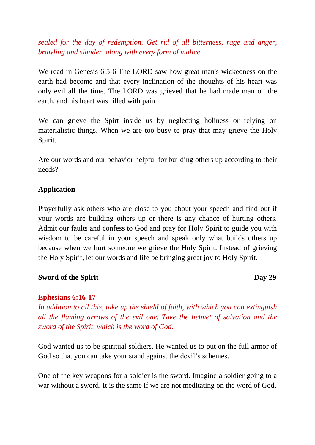*sealed for the day of redemption. Get rid of all bitterness, rage and anger, brawling and slander, along with every form of malice.*

We read in Genesis 6:5-6 The LORD saw how great man's wickedness on the earth had become and that every inclination of the thoughts of his heart was only evil all the time. The LORD was grieved that he had made man on the earth, and his heart was filled with pain.

We can grieve the Spirt inside us by neglecting holiness or relying on materialistic things. When we are too busy to pray that may grieve the Holy Spirit.

Are our words and our behavior helpful for building others up according to their needs?

## **Application**

Prayerfully ask others who are close to you about your speech and find out if your words are building others up or there is any chance of hurting others. Admit our faults and confess to God and pray for Holy Spirit to guide you with wisdom to be careful in your speech and speak only what builds others up because when we hurt someone we grieve the Holy Spirit. Instead of grieving the Holy Spirit, let our words and life be bringing great joy to Holy Spirit.

| <b>Sword of the Spirit</b> | Day 29 |
|----------------------------|--------|
|                            |        |

#### **Ephesians 6:16-17**

*In addition to all this, take up the shield of faith, with which you can extinguish all the flaming arrows of the evil one. Take the helmet of salvation and the sword of the Spirit, which is the word of God.*

God wanted us to be spiritual soldiers. He wanted us to put on the full armor of God so that you can take your stand against the devil's schemes.

One of the key weapons for a soldier is the sword. Imagine a soldier going to a war without a sword. It is the same if we are not meditating on the word of God.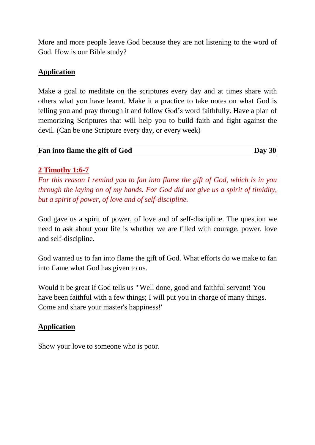More and more people leave God because they are not listening to the word of God. How is our Bible study?

# **Application**

Make a goal to meditate on the scriptures every day and at times share with others what you have learnt. Make it a practice to take notes on what God is telling you and pray through it and follow God's word faithfully. Have a plan of memorizing Scriptures that will help you to build faith and fight against the devil. (Can be one Scripture every day, or every week)

| Fan into flame the gift of God | Day 30 |
|--------------------------------|--------|
|                                |        |

# **2 Timothy 1:6-7**

*For this reason I remind you to fan into flame the gift of God, which is in you through the laying on of my hands. For God did not give us a spirit of timidity, but a spirit of power, of love and of self-discipline.*

God gave us a spirit of power, of love and of self-discipline. The question we need to ask about your life is whether we are filled with courage, power, love and self-discipline.

God wanted us to fan into flame the gift of God. What efforts do we make to fan into flame what God has given to us.

Would it be great if God tells us "'Well done, good and faithful servant! You have been faithful with a few things; I will put you in charge of many things. Come and share your master's happiness!'

# **Application**

Show your love to someone who is poor.